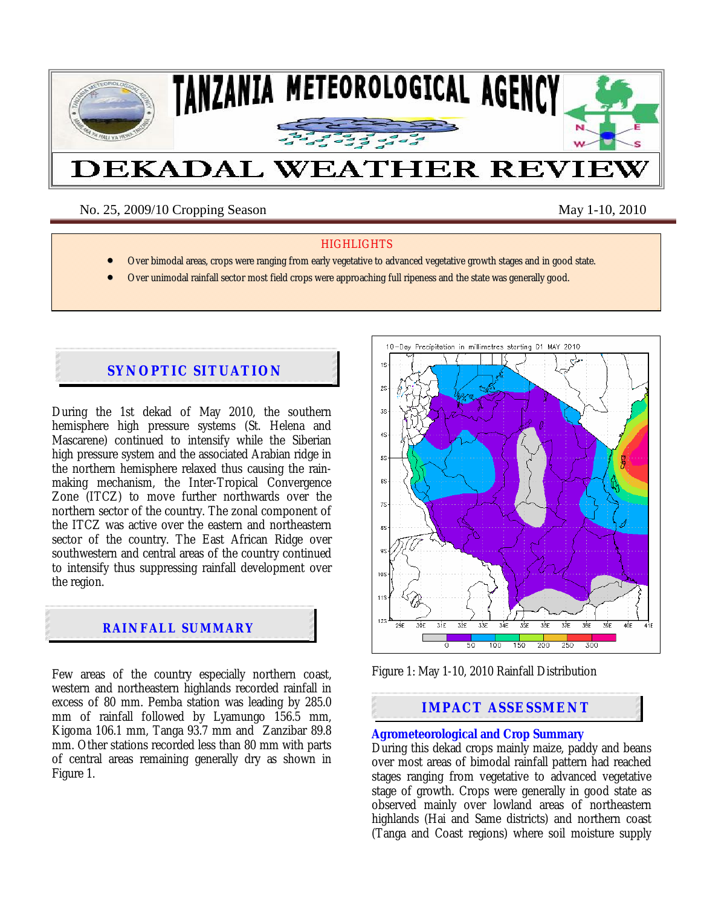

No. 25, 2009/10 Cropping Season May 1-10, 2010

## **HIGHLIGHTS**

- Over bimodal areas, crops were ranging from early vegetative to advanced vegetative growth stages and in good state.
- Over unimodal rainfall sector most field crops were approaching full ripeness and the state was generally good.

## **SYNOPTIC SITUATION**

During the 1st dekad of May 2010, the southern hemisphere high pressure systems (St. Helena and Mascarene) continued to intensify while the Siberian high pressure system and the associated Arabian ridge in the northern hemisphere relaxed thus causing the rainmaking mechanism, the Inter-Tropical Convergence Zone (ITCZ) to move further northwards over the northern sector of the country. The zonal component of the ITCZ was active over the eastern and northeastern sector of the country. The East African Ridge over southwestern and central areas of the country continued to intensify thus suppressing rainfall development over the region.

# **RAINFALL SUMMARY**

Few areas of the country especially northern coast, western and northeastern highlands recorded rainfall in excess of 80 mm. Pemba station was leading by 285.0 mm of rainfall followed by Lyamungo 156.5 mm, Kigoma 106.1 mm, Tanga 93.7 mm and Zanzibar 89.8 mm. Other stations recorded less than 80 mm with parts of central areas remaining generally dry as shown in Figure 1.



Figure 1: May 1-10, 2010 Rainfall Distribution

## **IMPACT ASSESSMENT**

## **Agrometeorological and Crop Summary**

During this dekad crops mainly maize, paddy and beans over most areas of bimodal rainfall pattern had reached stages ranging from vegetative to advanced vegetative stage of growth. Crops were generally in good state as observed mainly over lowland areas of northeastern highlands (Hai and Same districts) and northern coast (Tanga and Coast regions) where soil moisture supply